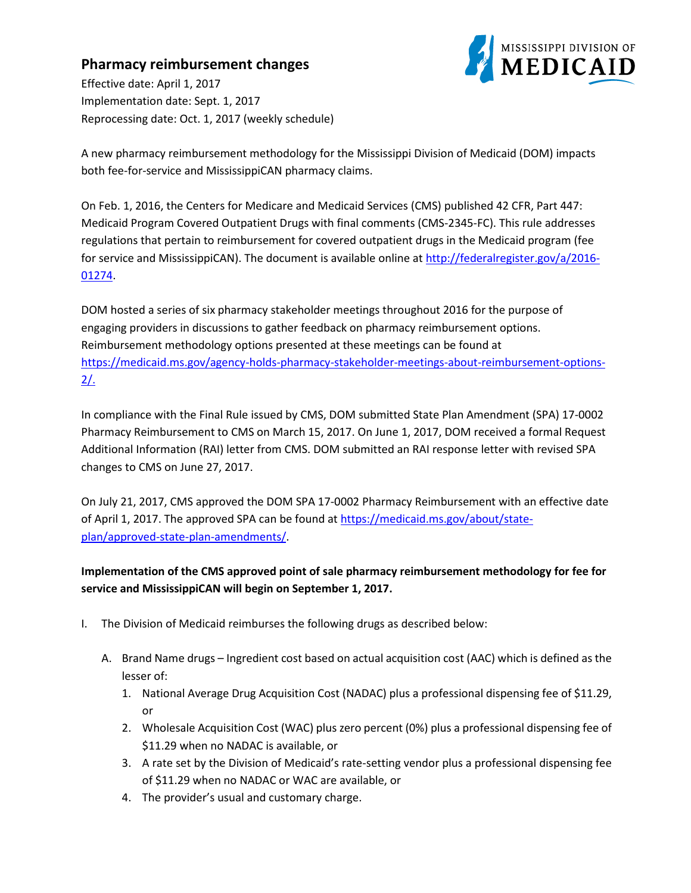## **Pharmacy reimbursement changes**



Effective date: April 1, 2017 Implementation date: Sept. 1, 2017 Reprocessing date: Oct. 1, 2017 (weekly schedule)

A new pharmacy reimbursement methodology for the Mississippi Division of Medicaid (DOM) impacts both fee-for-service and MississippiCAN pharmacy claims.

On Feb. 1, 2016, the Centers for Medicare and Medicaid Services (CMS) published 42 CFR, Part 447: Medicaid Program Covered Outpatient Drugs with final comments (CMS-2345-FC). This rule addresses regulations that pertain to reimbursement for covered outpatient drugs in the Medicaid program (fee for service and MississippiCAN). The document is available online at [http://federalregister.gov/a/2016-](http://federalregister.gov/a/2016-01274) [01274.](http://federalregister.gov/a/2016-01274)

DOM hosted a series of six pharmacy stakeholder meetings throughout 2016 for the purpose of engaging providers in discussions to gather feedback on pharmacy reimbursement options. Reimbursement methodology options presented at these meetings can be found at https://medicaid.ms.gov/agency-holds-pharmacy-stakeholder-meetings-about-reimbursement-options- $2/$ .

In compliance with the Final Rule issued by CMS, DOM submitted State Plan Amendment (SPA) 17-0002 Pharmacy Reimbursement to CMS on March 15, 2017. On June 1, 2017, DOM received a formal Request Additional Information (RAI) letter from CMS. DOM submitted an RAI response letter with revised SPA changes to CMS on June 27, 2017.

On July 21, 2017, CMS approved the DOM SPA 17-0002 Pharmacy Reimbursement with an effective date of April 1, 2017. The approved SPA can be found a[t https://medicaid.ms.gov/about/state](https://medicaid.ms.gov/about/state-plan/approved-state-plan-amendments/)[plan/approved-state-plan-amendments/.](https://medicaid.ms.gov/about/state-plan/approved-state-plan-amendments/)

## **Implementation of the CMS approved point of sale pharmacy reimbursement methodology for fee for service and MississippiCAN will begin on September 1, 2017.**

- I. The Division of Medicaid reimburses the following drugs as described below:
	- A. Brand Name drugs Ingredient cost based on actual acquisition cost (AAC) which is defined as the lesser of:
		- 1. National Average Drug Acquisition Cost (NADAC) plus a professional dispensing fee of \$11.29, or
		- 2. Wholesale Acquisition Cost (WAC) plus zero percent (0%) plus a professional dispensing fee of \$11.29 when no NADAC is available, or
		- 3. A rate set by the Division of Medicaid's rate-setting vendor plus a professional dispensing fee of \$11.29 when no NADAC or WAC are available, or
		- 4. The provider's usual and customary charge.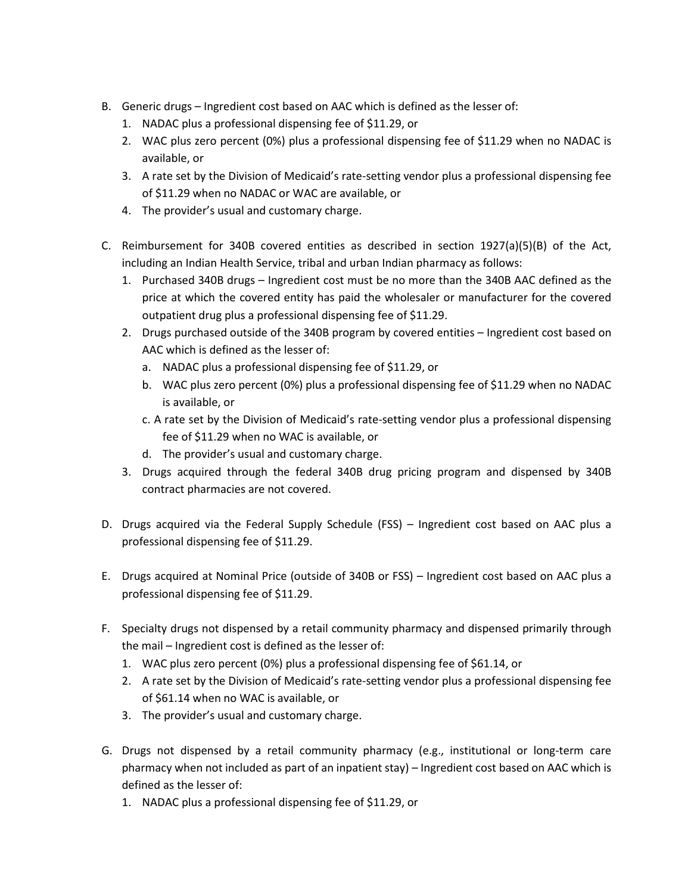- B. Generic drugs Ingredient cost based on AAC which is defined as the lesser of:
	- 1. NADAC plus a professional dispensing fee of \$11.29, or
	- 2. WAC plus zero percent (0%) plus a professional dispensing fee of \$11.29 when no NADAC is available, or
	- 3. A rate set by the Division of Medicaid's rate-setting vendor plus a professional dispensing fee of \$11.29 when no NADAC or WAC are available, or
	- 4. The provider's usual and customary charge.
- C. Reimbursement for 340B covered entities as described in section  $1927(a)(5)(B)$  of the Act, including an Indian Health Service, tribal and urban Indian pharmacy as follows:
	- 1. Purchased 340B drugs Ingredient cost must be no more than the 340B AAC defined as the price at which the covered entity has paid the wholesaler or manufacturer for the covered outpatient drug plus a professional dispensing fee of \$11.29.
	- 2. Drugs purchased outside of the 340B program by covered entities Ingredient cost based on AAC which is defined as the lesser of:
		- a. NADAC plus a professional dispensing fee of \$11.29, or
		- b. WAC plus zero percent (0%) plus a professional dispensing fee of \$11.29 when no NADAC is available, or
		- c. A rate set by the Division of Medicaid's rate-setting vendor plus a professional dispensing fee of \$11.29 when no WAC is available, or
		- d. The provider's usual and customary charge.
	- 3. Drugs acquired through the federal 340B drug pricing program and dispensed by 340B contract pharmacies are not covered.
- D. Drugs acquired via the Federal Supply Schedule (FSS) Ingredient cost based on AAC plus a professional dispensing fee of \$11.29.
- E. Drugs acquired at Nominal Price (outside of 340B or FSS) Ingredient cost based on AAC plus a professional dispensing fee of \$11.29.
- F. Specialty drugs not dispensed by a retail community pharmacy and dispensed primarily through the mail – Ingredient cost is defined as the lesser of:
	- 1. WAC plus zero percent (0%) plus a professional dispensing fee of \$61.14, or
	- 2. A rate set by the Division of Medicaid's rate-setting vendor plus a professional dispensing fee of \$61.14 when no WAC is available, or
	- 3. The provider's usual and customary charge.
- G. Drugs not dispensed by a retail community pharmacy (e.g., institutional or long-term care pharmacy when not included as part of an inpatient stay) – Ingredient cost based on AAC which is defined as the lesser of:
	- 1. NADAC plus a professional dispensing fee of \$11.29, or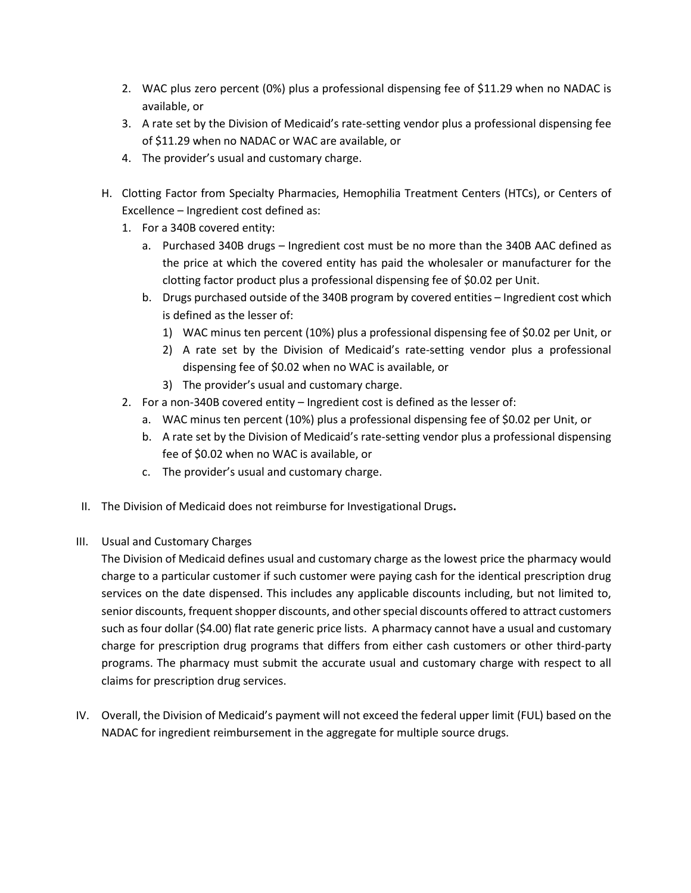- 2. WAC plus zero percent (0%) plus a professional dispensing fee of \$11.29 when no NADAC is available, or
- 3. A rate set by the Division of Medicaid's rate-setting vendor plus a professional dispensing fee of \$11.29 when no NADAC or WAC are available, or
- 4. The provider's usual and customary charge.
- H. Clotting Factor from Specialty Pharmacies, Hemophilia Treatment Centers (HTCs), or Centers of Excellence – Ingredient cost defined as:
	- 1. For a 340B covered entity:
		- a. Purchased 340B drugs Ingredient cost must be no more than the 340B AAC defined as the price at which the covered entity has paid the wholesaler or manufacturer for the clotting factor product plus a professional dispensing fee of \$0.02 per Unit.
		- b. Drugs purchased outside of the 340B program by covered entities Ingredient cost which is defined as the lesser of:
			- 1) WAC minus ten percent (10%) plus a professional dispensing fee of \$0.02 per Unit, or
			- 2) A rate set by the Division of Medicaid's rate-setting vendor plus a professional dispensing fee of \$0.02 when no WAC is available, or
			- 3) The provider's usual and customary charge.
	- 2. For a non-340B covered entity Ingredient cost is defined as the lesser of:
		- a. WAC minus ten percent (10%) plus a professional dispensing fee of \$0.02 per Unit, or
		- b. A rate set by the Division of Medicaid's rate-setting vendor plus a professional dispensing fee of \$0.02 when no WAC is available, or
		- c. The provider's usual and customary charge.
- II. The Division of Medicaid does not reimburse for Investigational Drugs**.**
- III. Usual and Customary Charges

The Division of Medicaid defines usual and customary charge as the lowest price the pharmacy would charge to a particular customer if such customer were paying cash for the identical prescription drug services on the date dispensed. This includes any applicable discounts including, but not limited to, senior discounts, frequent shopper discounts, and other special discounts offered to attract customers such as four dollar (\$4.00) flat rate generic price lists. A pharmacy cannot have a usual and customary charge for prescription drug programs that differs from either cash customers or other third-party programs. The pharmacy must submit the accurate usual and customary charge with respect to all claims for prescription drug services.

IV. Overall, the Division of Medicaid's payment will not exceed the federal upper limit (FUL) based on the NADAC for ingredient reimbursement in the aggregate for multiple source drugs.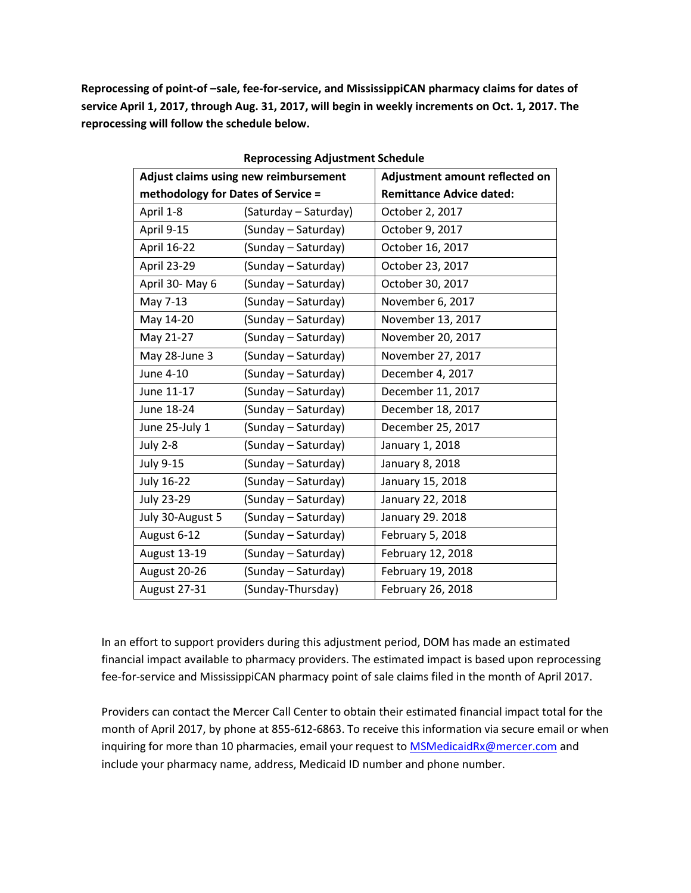**Reprocessing of point-of –sale, fee-for-service, and MississippiCAN pharmacy claims for dates of service April 1, 2017, through Aug. 31, 2017, will begin in weekly increments on Oct. 1, 2017. The reprocessing will follow the schedule below.**

| Adjust claims using new reimbursement |                       | Adjustment amount reflected on  |
|---------------------------------------|-----------------------|---------------------------------|
| methodology for Dates of Service =    |                       | <b>Remittance Advice dated:</b> |
| April 1-8                             | (Saturday – Saturday) | October 2, 2017                 |
| April 9-15                            | (Sunday – Saturday)   | October 9, 2017                 |
| April 16-22                           | (Sunday – Saturday)   | October 16, 2017                |
| <b>April 23-29</b>                    | (Sunday - Saturday)   | October 23, 2017                |
| April 30- May 6                       | (Sunday - Saturday)   | October 30, 2017                |
| May 7-13                              | (Sunday – Saturday)   | November 6, 2017                |
| May 14-20                             | (Sunday – Saturday)   | November 13, 2017               |
| May 21-27                             | (Sunday – Saturday)   | November 20, 2017               |
| May 28-June 3                         | (Sunday - Saturday)   | November 27, 2017               |
| June 4-10                             | (Sunday - Saturday)   | December 4, 2017                |
| June 11-17                            | (Sunday - Saturday)   | December 11, 2017               |
| June 18-24                            | (Sunday - Saturday)   | December 18, 2017               |
| June 25-July 1                        | (Sunday – Saturday)   | December 25, 2017               |
| <b>July 2-8</b>                       | (Sunday – Saturday)   | January 1, 2018                 |
| <b>July 9-15</b>                      | (Sunday - Saturday)   | January 8, 2018                 |
| July 16-22                            | (Sunday – Saturday)   | January 15, 2018                |
| <b>July 23-29</b>                     | (Sunday – Saturday)   | January 22, 2018                |
| July 30-August 5                      | (Sunday – Saturday)   | January 29. 2018                |
| August 6-12                           | (Sunday – Saturday)   | February 5, 2018                |
| <b>August 13-19</b>                   | (Sunday – Saturday)   | February 12, 2018               |
| August 20-26                          | (Sunday - Saturday)   | February 19, 2018               |
| August 27-31                          | (Sunday-Thursday)     | February 26, 2018               |

**Reprocessing Adjustment Schedule**

In an effort to support providers during this adjustment period, DOM has made an estimated financial impact available to pharmacy providers. The estimated impact is based upon reprocessing fee-for-service and MississippiCAN pharmacy point of sale claims filed in the month of April 2017.

Providers can contact the Mercer Call Center to obtain their estimated financial impact total for the month of April 2017, by phone at 855-612-6863. To receive this information via secure email or when inquiring for more than 10 pharmacies, email your request to [MSMedicaidRx@mercer.com](mailto:MSMedicaidRx@mercer.com) and include your pharmacy name, address, Medicaid ID number and phone number.